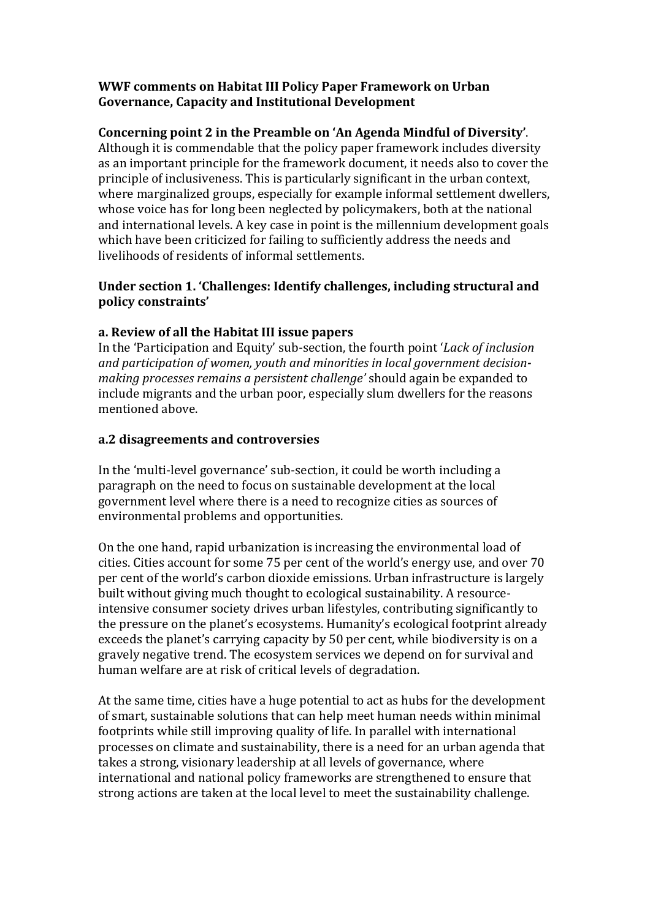## **WWF comments on Habitat III Policy Paper Framework on Urban Governance, Capacity and Institutional Development**

## Concerning point 2 in the Preamble on 'An Agenda Mindful of Diversity'.

Although it is commendable that the policy paper framework includes diversity as an important principle for the framework document, it needs also to cover the principle of inclusiveness. This is particularly significant in the urban context, where marginalized groups, especially for example informal settlement dwellers, whose voice has for long been neglected by policymakers, both at the national and international levels. A key case in point is the millennium development goals which have been criticized for failing to sufficiently address the needs and livelihoods of residents of informal settlements.

## Under section 1. 'Challenges: Identify challenges, including structural and **policy constraints'**

## **a. Review of all the Habitat III issue papers**

In the 'Participation and Equity' sub-section, the fourth point '*Lack of inclusion* and participation of women, youth and minorities in local government decision*making processes remains a persistent challenge'* should again be expanded to include migrants and the urban poor, especially slum dwellers for the reasons mentioned above.

#### **a.2 disagreements and controversies**

In the 'multi-level governance' sub-section, it could be worth including a paragraph on the need to focus on sustainable development at the local government level where there is a need to recognize cities as sources of environmental problems and opportunities.

On the one hand, rapid urbanization is increasing the environmental load of cities. Cities account for some 75 per cent of the world's energy use, and over 70 per cent of the world's carbon dioxide emissions. Urban infrastructure is largely built without giving much thought to ecological sustainability. A resourceintensive consumer society drives urban lifestyles, contributing significantly to the pressure on the planet's ecosystems. Humanity's ecological footprint already exceeds the planet's carrying capacity by 50 per cent, while biodiversity is on a gravely negative trend. The ecosystem services we depend on for survival and human welfare are at risk of critical levels of degradation.

At the same time, cities have a huge potential to act as hubs for the development of smart, sustainable solutions that can help meet human needs within minimal footprints while still improving quality of life. In parallel with international processes on climate and sustainability, there is a need for an urban agenda that takes a strong, visionary leadership at all levels of governance, where international and national policy frameworks are strengthened to ensure that strong actions are taken at the local level to meet the sustainability challenge.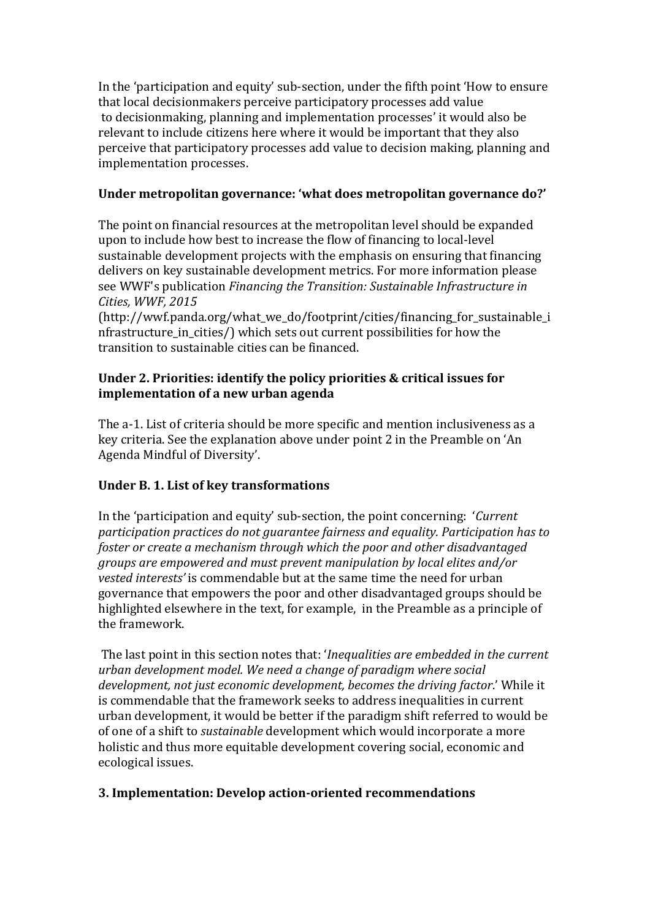In the 'participation and equity' sub-section, under the fifth point 'How to ensure that local decisionmakers perceive participatory processes add value to decisionmaking, planning and implementation processes' it would also be relevant to include citizens here where it would be important that they also perceive that participatory processes add value to decision making, planning and implementation processes.

## Under metropolitan governance: 'what does metropolitan governance do?'

The point on financial resources at the metropolitan level should be expanded upon to include how best to increase the flow of financing to local-level sustainable development projects with the emphasis on ensuring that financing delivers on key sustainable development metrics. For more information please see WWF's publication *Financing the Transition: Sustainable Infrastructure in Cities, WWF, 2015*

(http://wwf.panda.org/what\_we\_do/footprint/cities/financing\_for\_sustainable\_i nfrastructure in cities/) which sets out current possibilities for how the transition to sustainable cities can be financed.

## **Under 2. Priorities: identify the policy priorities & critical issues for implementation of a new urban agenda**

The a-1. List of criteria should be more specific and mention inclusiveness as a key criteria. See the explanation above under point 2 in the Preamble on 'An Agenda Mindful of Diversity'.

# Under B. 1. List of key transformations

In the 'participation and equity' sub-section, the point concerning: *'Current* participation practices do not quarantee fairness and equality. Participation has to *foster or create a mechanism through which the poor and other disadvantaged groups are empowered and must prevent manipulation by local elites and/or*  vested interests' is commendable but at the same time the need for urban governance that empowers the poor and other disadvantaged groups should be highlighted elsewhere in the text, for example, in the Preamble as a principle of the framework.

The last point in this section notes that: '*Inequalities are embedded in the current urban development model. We need a change of paradigm where social development, not just economic development, becomes the driving factor.'* While it is commendable that the framework seeks to address inequalities in current urban development, it would be better if the paradigm shift referred to would be of one of a shift to *sustainable* development which would incorporate a more holistic and thus more equitable development covering social, economic and ecological issues.

# **3. Implementation: Develop action-oriented recommendations**